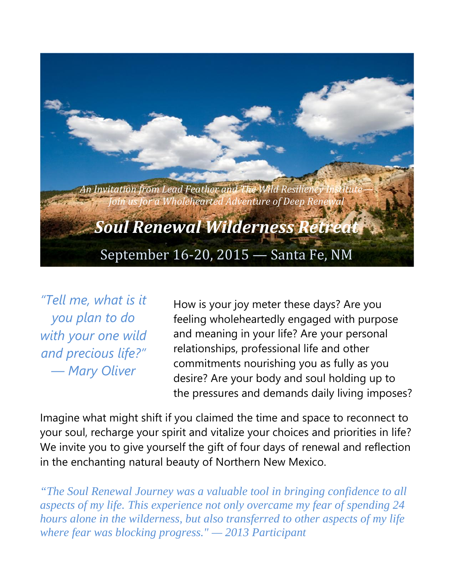

*"Tell me, what is it you plan to do with your one wild and precious life?" — Mary Oliver*

How is your joy meter these days? Are you feeling wholeheartedly engaged with purpose and meaning in your life? Are your personal relationships, professional life and other commitments nourishing you as fully as you desire? Are your body and soul holding up to the pressures and demands daily living imposes?

Imagine what might shift if you claimed the time and space to reconnect to your soul, recharge your spirit and vitalize your choices and priorities in life? We invite you to give yourself the gift of four days of renewal and reflection in the enchanting natural beauty of Northern New Mexico.

*"The Soul Renewal Journey was a valuable tool in bringing confidence to all aspects of my life. This experience not only overcame my fear of spending 24 hours alone in the wilderness, but also transferred to other aspects of my life where fear was blocking progress." — 2013 Participant*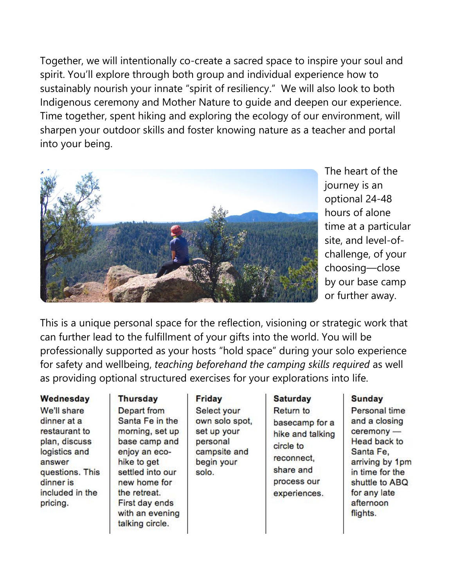Together, we will intentionally co-create a sacred space to inspire your soul and spirit. You'll explore through both group and individual experience how to sustainably nourish your innate "spirit of resiliency." We will also look to both Indigenous ceremony and Mother Nature to guide and deepen our experience. Time together, spent hiking and exploring the ecology of our environment, will sharpen your outdoor skills and foster knowing nature as a teacher and portal into your being.



The heart of the journey is an optional 24-48 hours of alone time at a particular site, and level-of challenge, of your choosing—close by our base camp or further away.

This is a unique personal space for the reflection, visioning or strategic work that can further lead to the fulfillment of your gifts into the world. You will be professionally supported as your hosts "hold space" during your solo experience for safety and wellbeing, *teaching beforehand the camping skills required* as well as providing optional structured exercises for your explorations into life.

#### Wednesday

We'll share dinner at a restaurant to plan, discuss logistics and answer questions. This dinner is included in the pricing.

## **Thursday** Depart from Santa Fe in the morning, set up base camp and enjoy an ecohike to get settled into our new home for the retreat. First day ends with an evening

talking circle.

### Friday

Select your own solo spot, set up your personal campsite and begin your solo.

# **Saturday** Return to basecamp for a hike and talking circle to reconnect. share and process our experiences.

### **Sunday**

Personal time and a closing ceremony -**Head back to** Santa Fe, arriving by 1pm in time for the shuttle to ABQ for any late afternoon flights.